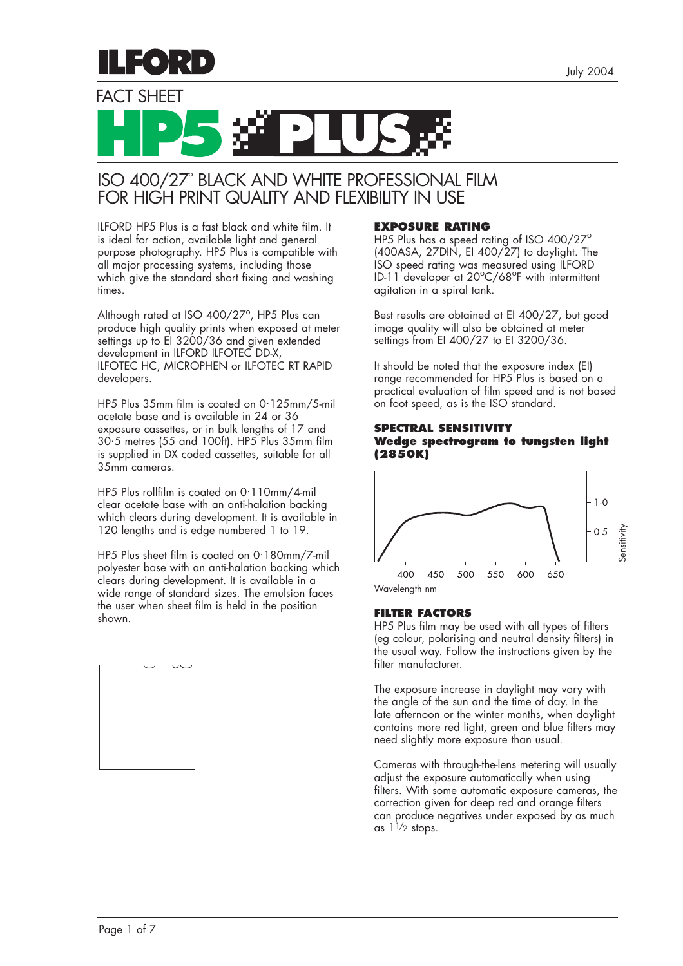

FACT SHEFT



# ISO 400/27° BLACK AND WHITE PROFESSIONAL FILM FOR HIGH PRINT QUALITY AND FLEXIBILITY IN USE

ILFORD HP5 Plus is a fast black and white film. It is ideal for action, available light and general purpose photography. HP5 Plus is compatible with all major processing systems, including those which give the standard short fixing and washing times.

Although rated at ISO 400/27°, HP5 Plus can produce high quality prints when exposed at meter settings up to EI 3200/36 and given extended development in ILFORD ILFOTEC DD-X, ILFOTEC HC, MICROPHEN or ILFOTEC RT RAPID developers.

HP5 Plus 35mm film is coated on 0. 125mm/5-mil acetate base and is available in 24 or 36 exposure cassettes, or in bulk lengths of 17 and 30. 5 metres (55 and 100ft). HP5 Plus 35mm film is supplied in DX coded cassettes, suitable for all 35mm cameras.

HP5 Plus rollfilm is coated on 0. 110mm/4-mil clear acetate base with an anti-halation backing which clears during development. It is available in 120 lengths and is edge numbered 1 to 19.

HP5 Plus sheet film is coated on 0. 180mm/7-mil polyester base with an anti-halation backing which clears during development. It is available in a wide range of standard sizes. The emulsion faces the user when sheet film is held in the position shown.



# **EXPOSURE RATING**

HP5 Plus has a speed rating of ISO 400/27° (400ASA, 27DIN, EI 400/27) to daylight. The ISO speed rating was measured using ILFORD ID-11 developer at 20°C/68°F with intermittent agitation in a spiral tank.

Best results are obtained at EI 400/27, but good image quality will also be obtained at meter settings from EI 400/27 to EI 3200/36.

It should be noted that the exposure index (EI) range recommended for HP5 Plus is based on a practical evaluation of film speed and is not based on foot speed, as is the ISO standard.

#### **SPECTRAL SENSITIVITY Wedge spectrogram to tungsten light (2850K)**



# **FILTER FACTORS**

HP5 Plus film may be used with all types of filters (eg colour, polarising and neutral density filters) in the usual way. Follow the instructions given by the filter manufacturer.

The exposure increase in daylight may vary with the angle of the sun and the time of day. In the late afternoon or the winter months, when daylight contains more red light, green and blue filters may need slightly more exposure than usual.

Cameras with through-the-lens metering will usually adjust the exposure automatically when using filters. With some automatic exposure cameras, the correction given for deep red and orange filters can produce negatives under exposed by as much as  $1^{1/2}$  stops.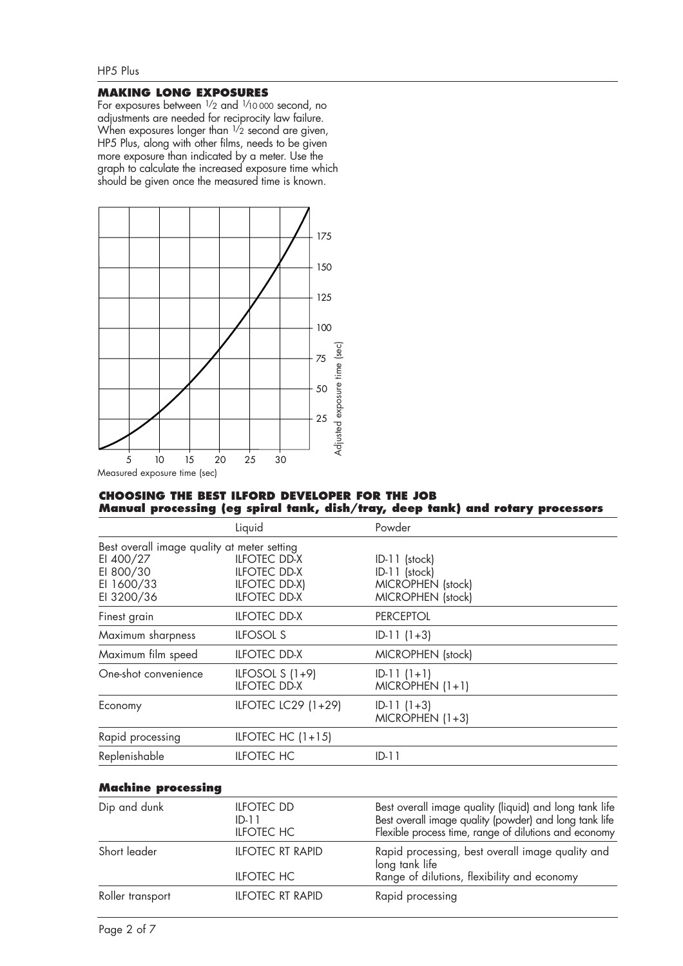# HP5 Plus

# **MAKING LONG EXPOSURES**

For exposures between  $\frac{1}{2}$  and  $\frac{1}{10}$  000 second, no adjustments are needed for reciprocity law failure. When exposures longer than  $\frac{1}{2}$  second are given, HP5 Plus, along with other films, needs to be given more exposure than indicated by a meter. Use the graph to calculate the increased exposure time which should be given once the measured time is known.



# **CHOOSING THE BEST ILFORD DEVELOPER FOR THE JOB Manual processing (eg spiral tank, dish/tray, deep tank) and rotary processors**

|                                                    | Liquid                                                                             | Powder                                                                     |
|----------------------------------------------------|------------------------------------------------------------------------------------|----------------------------------------------------------------------------|
| Best overall image quality at meter setting        |                                                                                    |                                                                            |
| EI 400/27<br>EI 800/30<br>EI 1600/33<br>EI 3200/36 | <b>ILFOTEC DD-X</b><br><b>ILFOTEC DD-X</b><br>ILFOTEC DD-X)<br><b>ILFOTEC DD-X</b> | $ID-11$ (stock)<br>ID-11 (stock)<br>MICROPHEN (stock)<br>MICROPHEN (stock) |
| Finest grain                                       | <b>ILFOTEC DD-X</b>                                                                | <b>PERCEPTOL</b>                                                           |
| Maximum sharpness                                  | <b>ILFOSOL S</b>                                                                   | $ID-11(1+3)$                                                               |
| Maximum film speed                                 | <b>ILFOTEC DD-X</b>                                                                | MICROPHEN (stock)                                                          |
| One-shot convenience                               | ILFOSOL $S(1+9)$<br><b>ILFOTEC DD-X</b>                                            | $ID-11(1+1)$<br>$MICROPHEN (1+1)$                                          |
| Economy                                            | ILFOTEC LC29 (1+29)                                                                | $ID-11(1+3)$<br>$MICROPHEN (1+3)$                                          |
| Rapid processing                                   | ILFOTEC HC $(1+15)$                                                                |                                                                            |
| Replenishable                                      | <b>ILFOTEC HC</b>                                                                  | $ID-11$                                                                    |
|                                                    |                                                                                    |                                                                            |

# **Machine processing**

| Dip and dunk     | <b>ILFOTEC DD</b><br>$ID-11$<br><b>ILFOTEC HC</b> | Best overall image quality (liquid) and long tank life<br>Best overall image quality (powder) and long tank life<br>Flexible process time, range of dilutions and economy |
|------------------|---------------------------------------------------|---------------------------------------------------------------------------------------------------------------------------------------------------------------------------|
| Short leader     | <b>ILFOTEC RT RAPID</b>                           | Rapid processing, best overall image quality and<br>long tank life                                                                                                        |
|                  | <b>ILFOTEC HC</b>                                 | Range of dilutions, flexibility and economy                                                                                                                               |
| Roller transport | <b>ILFOTEC RT RAPID</b>                           | Rapid processing                                                                                                                                                          |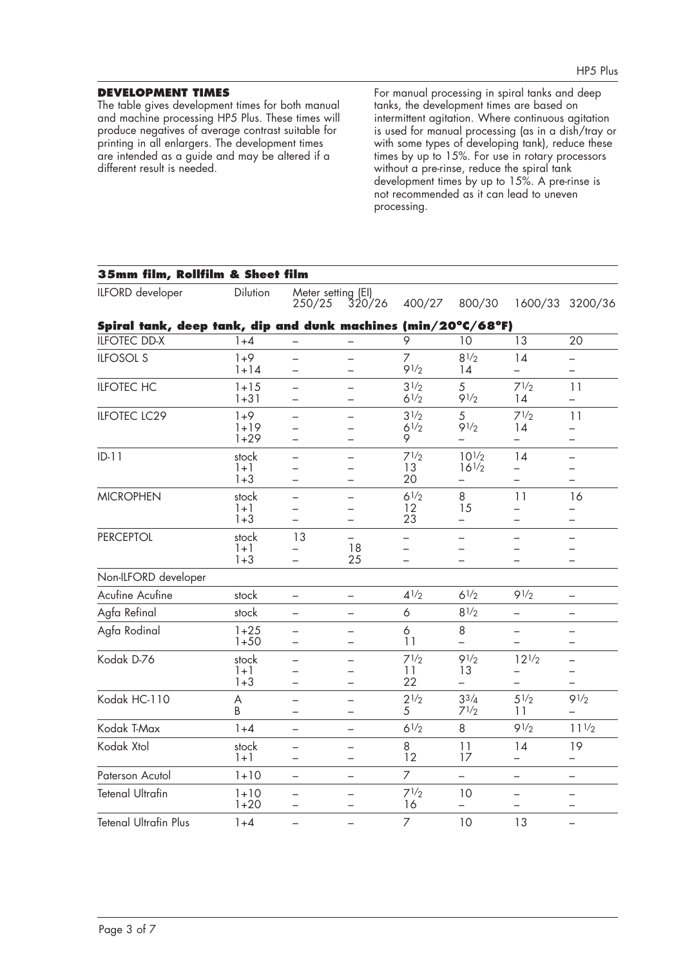# **DEVELOPMENT TIMES**

The table gives development times for both manual and machine processing HP5 Plus. These times will produce negatives of average contrast suitable for printing in all enlargers. The development times are intended as a guide and may be altered if a different result is needed.

For manual processing in spiral tanks and deep tanks, the development times are based on intermittent agitation. Where continuous agitation is used for manual processing (as in a dish/tray or with some types of developing tank), reduce these times by up to 15%. For use in rotary processors without a pre-rinse, reduce the spiral tank development times by up to 15%. A pre-rinse is not recommended as it can lead to uneven processing.

| 35mm film, Rollfilm & Sheet film                              |                             |                                                      |                                                                  |                        |                          |                                     |                                            |
|---------------------------------------------------------------|-----------------------------|------------------------------------------------------|------------------------------------------------------------------|------------------------|--------------------------|-------------------------------------|--------------------------------------------|
| ILFORD developer                                              | Dilution                    | Meter setting (EI)<br>250/25                         | 320/26                                                           | 400/27                 | 800/30                   |                                     | 1600/33 3200/36                            |
| Spiral tank, deep tank, dip and dunk machines (min/20°C/68°F) |                             |                                                      |                                                                  |                        |                          |                                     |                                            |
| <b>ILFOTEC DD-X</b>                                           | $1 + 4$                     |                                                      |                                                                  | 9                      | 10                       | $\overline{13}$                     | 20                                         |
| <b>ILFOSOL S</b>                                              | $1+9$<br>$1 + 14$           | $\overline{\phantom{0}}$<br>$\equiv$                 | -                                                                | 7<br>91/2              | $8^{1/2}$<br>14          | 14                                  | $\qquad \qquad -$                          |
| <b>ILFOTEC HC</b>                                             | $1 + 15$<br>$1 + 31$        | $\overline{\phantom{0}}$<br>$\overline{\phantom{0}}$ | —<br>-                                                           | 31/2<br>$6^{1/2}$      | 5<br>91/2                | 71/2<br>14                          | 11<br>$\qquad \qquad -$                    |
| <b>ILFOTEC LC29</b>                                           | $1+9$<br>$1 + 19$<br>$1+29$ |                                                      |                                                                  | 31/2<br>$6^{1/2}$<br>9 | 5<br>91/2                | 71/2<br>14                          | 11                                         |
| $ID-11$                                                       | stock<br>$1 + 1$<br>$1 + 3$ | $\equiv$                                             |                                                                  | 71/2<br>13<br>20       | $10^{1/2}$<br>$16^{1/2}$ | 14<br>▃                             | $\rightarrow$                              |
| <b>MICROPHEN</b>                                              | stock<br>$1+1$<br>$1 + 3$   | $\qquad \qquad -$<br>$\equiv$<br>$\equiv$            | $\overline{\phantom{0}}$<br>$\equiv$<br>$\overline{\phantom{0}}$ | $6^{1/2}$<br>12<br>23  | 8<br>15<br>$\equiv$      | 11<br>═<br>$\overline{\phantom{0}}$ | 16<br>$\overline{\phantom{0}}$<br>$\equiv$ |
| <b>PERCEPTOL</b>                                              | stock<br>$1 + 1$<br>$1 + 3$ | 13                                                   | 18<br>25                                                         | -                      |                          |                                     |                                            |
| Non-ILFORD developer                                          |                             |                                                      |                                                                  |                        |                          |                                     |                                            |
| Acufine Acufine                                               | stock                       | $\qquad \qquad -$                                    | $\overline{\phantom{0}}$                                         | $4^{1/2}$              | $6^{1/2}$                | 91/2                                | $\qquad \qquad -$                          |
| Agfa Refinal                                                  | stock                       | $\qquad \qquad -$                                    | —                                                                | 6                      | $8^{1/2}$                |                                     | $\qquad \qquad -$                          |
| Agfa Rodinal                                                  | $1 + 25$<br>$1 + 50$        |                                                      |                                                                  | 6<br>11                | 8                        | $\overline{\phantom{0}}$            |                                            |
| Kodak D-76                                                    | stock<br>$1 + 1$<br>$1 + 3$ |                                                      |                                                                  | 71/2<br>11<br>22       | 91/2<br>13               | $12^{1/2}$                          |                                            |
| Kodak HC-110                                                  | A<br>B                      | $\overline{\phantom{0}}$<br>$\equiv$                 | $\overline{\phantom{0}}$<br>$\equiv$                             | $2^{1/2}$<br>5         | $3^{3}/4$<br>$7^{1/2}$   | $5^{1/2}$<br>11                     | 91/2                                       |
| Kodak T-Max                                                   | $1 + 4$                     | $\qquad \qquad -$                                    | -                                                                | $6^{1/2}$              | 8                        | 91/2                                | $11^{1/2}$                                 |
| Kodak Xtol                                                    | stock<br>$1 + 1$            | $\equiv$<br>$\qquad \qquad -$                        | -                                                                | 8<br>12                | 11<br>17                 | 14<br>-                             | 19<br>$\qquad \qquad -$                    |
| Paterson Acutol                                               | $1 + 10$                    | $\qquad \qquad -$                                    | $\overline{\phantom{0}}$                                         | $\overline{7}$         | $\overline{\phantom{0}}$ | $\overline{\phantom{0}}$            | $\qquad \qquad -$                          |
| <b>Tetenal Ultrafin</b>                                       | $1 + 10$<br>$1+20$          | $\overline{\phantom{0}}$<br>$\qquad \qquad -$        | -<br>-                                                           | 71/2<br>16             | 10                       | -<br>-                              | $\overline{\phantom{0}}$                   |
| <b>Tetenal Ultrafin Plus</b>                                  | $1 + 4$                     | $\equiv$                                             |                                                                  | $\overline{7}$         | 10                       | 13                                  |                                            |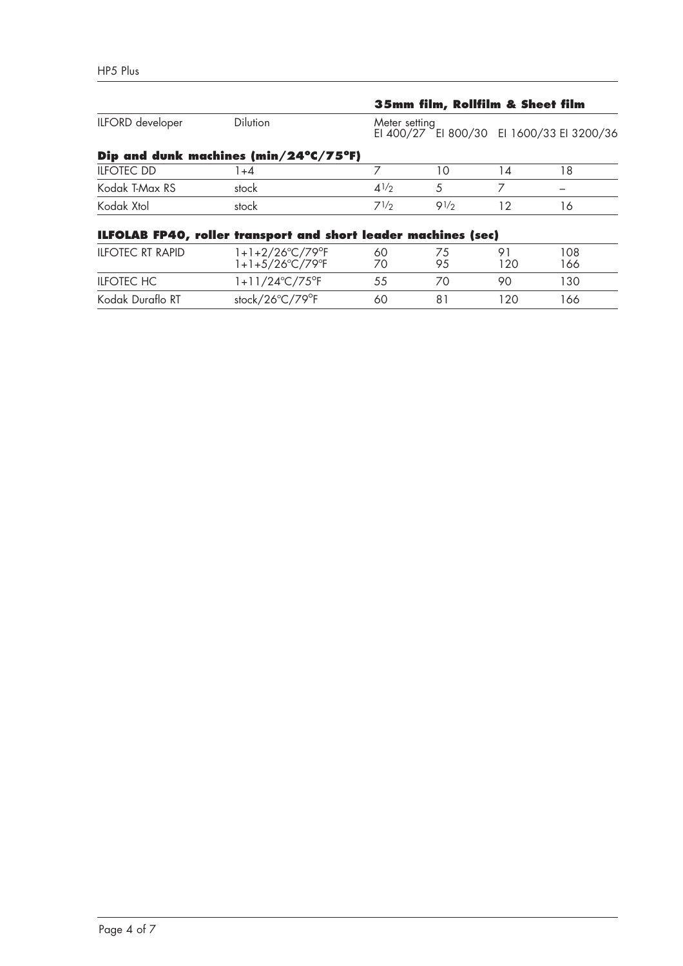|                         |                                                                       |               | 35mm film, Rollfilm & Sheet film |    |                                           |  |
|-------------------------|-----------------------------------------------------------------------|---------------|----------------------------------|----|-------------------------------------------|--|
| ILFORD developer        | <b>Dilution</b>                                                       | Meter setting |                                  |    | EI 400/27 EI 800/30 EI 1600/33 EI 3200/36 |  |
|                         | Dip and dunk machines (min/24°C/75°F)                                 |               |                                  |    |                                           |  |
| <b>ILFOTEC DD</b>       | 1+4                                                                   |               | ۱0                               | 14 | 18                                        |  |
| Kodak T-Max RS          | stock                                                                 | 41/2          | 5                                |    |                                           |  |
| Kodak Xtol              | stock                                                                 | 71/2          | 91/2                             | 12 | 16                                        |  |
|                         | <b>ILFOLAB FP40, roller transport and short leader machines (sec)</b> |               |                                  |    |                                           |  |
| <b>ILFOTEC RT RAPID</b> | $1+1+2/26^{\circ}C/79^{\circ}F$                                       | 60            | 75                               |    | 108                                       |  |

| <b>ILFOTEC RT RAPID</b> | $1+1+2/26^{\circ}C/79^{\circ}F$<br>$1+1+5/26^{\circ}C/79^{\circ}F$ | 60 | 75<br>95 | Q,<br>120 | 108<br>166 |  |
|-------------------------|--------------------------------------------------------------------|----|----------|-----------|------------|--|
| ILFOTEC HC              | $1+11/24^{\circ}C/75^{\circ}F$                                     |    |          | 90        | 130        |  |
| Kodak Duraflo RT        | stock/26°C/79°F                                                    | 60 |          | 120       | 166        |  |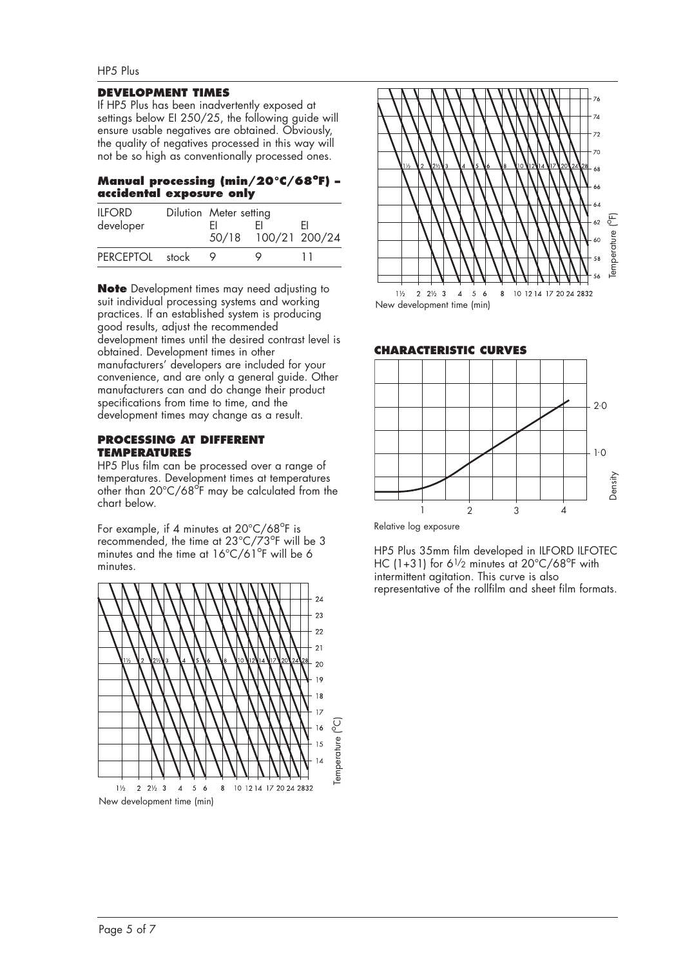#### **DEVELOPMENT TIMES**

If HP5 Plus has been inadvertently exposed at settings below EI 250/25, the following guide will ensure usable negatives are obtained. Obviously, the quality of negatives processed in this way will not be so high as conventionally processed ones.

#### Manual processing (min/20°C/68°F) **accidental exposure only**

| <b>ILFORD</b><br>developer | Dilution Meter setting<br>H. | 50/18 100/21 200/24 | FI |
|----------------------------|------------------------------|---------------------|----|
| PFRCFPTOL stock            |                              |                     |    |

**Note** Development times may need adjusting to suit individual processing systems and working practices. If an established system is producing good results, adjust the recommended development times until the desired contrast level is obtained. Development times in other manufacturers' developers are included for your convenience, and are only a general guide. Other manufacturers can and do change their product specifications from time to time, and the development times may change as a result.

#### **PROCESSING AT DIFFERENT TEMPERATURES**

HP5 Plus film can be processed over a range of temperatures. Development times at temperatures other than 20°C/68°F may be calculated from the chart below.

For example, if 4 minutes at 20°C/68°F is recommended, the time at 23°C/73°F will be 3 minutes and the time at 16°C/61°F will be 6 minutes.





**CHARACTERISTIC CURVES**



Relative log exposure

HP5 Plus 35mm film developed in ILFORD ILFOTEC HC (1+31) for 61/2 minutes at 20°C/68°F with intermittent agitation. This curve is also representative of the rollfilm and sheet film formats.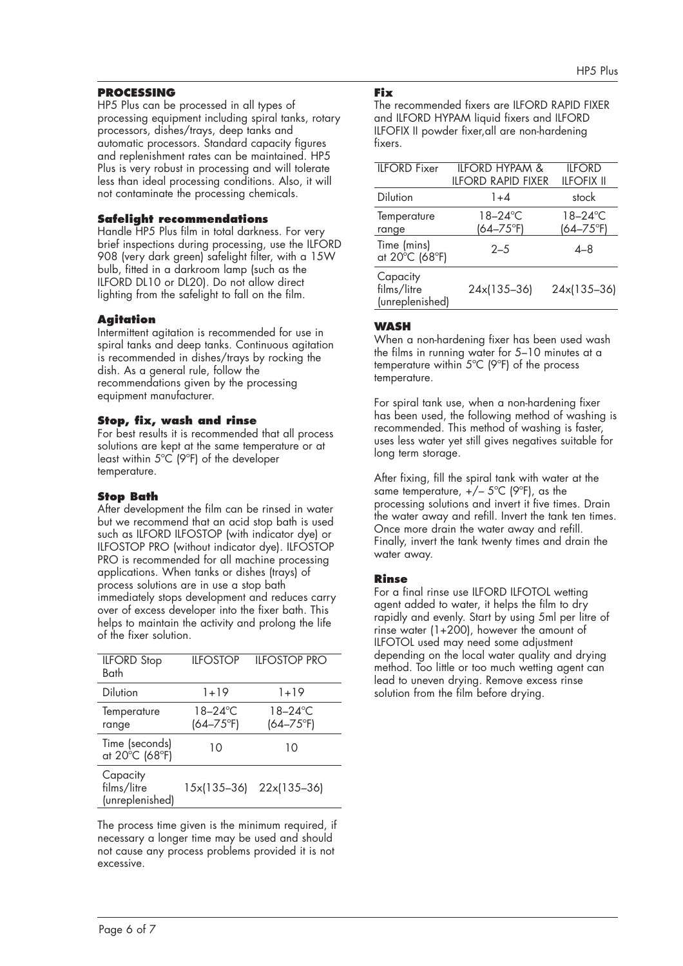# **PROCESSING**

HP5 Plus can be processed in all types of processing equipment including spiral tanks, rotary processors, dishes/trays, deep tanks and automatic processors. Standard capacity figures and replenishment rates can be maintained. HP5 Plus is very robust in processing and will tolerate less than ideal processing conditions. Also, it will not contaminate the processing chemicals.

#### **Safelight recommendations**

Handle HP5 Plus film in total darkness. For very brief inspections during processing, use the ILFORD 908 (very dark green) safelight filter, with a 15W bulb, fitted in a darkroom lamp (such as the ILFORD DL10 or DL20). Do not allow direct lighting from the safelight to fall on the film.

# **Agitation**

Intermittent agitation is recommended for use in spiral tanks and deep tanks. Continuous agitation is recommended in dishes/trays by rocking the dish. As a general rule, follow the recommendations given by the processing equipment manufacturer.

#### **Stop, fix, wash and rinse**

For best results it is recommended that all process solutions are kept at the same temperature or at least within 5ºC (9ºF) of the developer temperature.

#### **Stop Bath**

After development the film can be rinsed in water but we recommend that an acid stop bath is used such as ILFORD ILFOSTOP (with indicator dye) or ILFOSTOP PRO (without indicator dye). ILFOSTOP PRO is recommended for all machine processing applications. When tanks or dishes (trays) of process solutions are in use a stop bath immediately stops development and reduces carry over of excess developer into the fixer bath. This helps to maintain the activity and prolong the life of the fixer solution.

| <b>ILFORD</b> Stop<br>Bath                 | <b>ILFOSTOP</b>                 | <b>IIFOSTOP PRO</b>        |
|--------------------------------------------|---------------------------------|----------------------------|
| <b>Dilution</b>                            | 1+19                            | 1+19                       |
| Temperature<br>range                       | $18 - 24$ °C<br>$(64 - 75)$ °F) | 18-24°C<br>$(64 - 75)$ °F) |
| Time (seconds)<br>at 20°C (68°F)           | 10                              | 10                         |
| Capacity<br>films/litre<br>(unreplenished) | 15x(135-36)                     | 22x(135-36)                |

The process time given is the minimum required, if necessary a longer time may be used and should not cause any process problems provided it is not excessive.

#### **Fix**

The recommended fixers are ILFORD RAPID FIXER and ILFORD HYPAM liquid fixers and ILFORD ILFOFIX II powder fixer,all are non-hardening fixers.

| <b>ILFORD</b> Fixer                        | <b>ILFORD HYPAM &amp;</b><br><b>II FORD RAPID FIXFR</b> | <b>ILFORD</b><br><b>ILFOFIX II</b> |
|--------------------------------------------|---------------------------------------------------------|------------------------------------|
| <b>Dilution</b>                            | $1 + 4$                                                 | stock                              |
| Temperature<br>range                       | 18–24°C<br>$(64 - 75)$ °F)                              | $18 - 24$ °C<br>$(64 - 75)$ °F)    |
| Time (mins)<br>at 20°C (68°F)              | $2 - 5$                                                 | $4 - 8$                            |
| Capacity<br>films/litre<br>(unreplenished) | 24x(135-36)                                             | 24x(135-36)                        |

# **WASH**

When a non-hardening fixer has been used wash the films in running water for 5–10 minutes at a temperature within 5ºC (9ºF) of the process temperature.

For spiral tank use, when a non-hardening fixer has been used, the following method of washing is recommended. This method of washing is faster, uses less water yet still gives negatives suitable for long term storage.

After fixing, fill the spiral tank with water at the same temperature,  $+/- 5^{\circ}C$  (9 $^{\circ}F$ ), as the processing solutions and invert it five times. Drain the water away and refill. Invert the tank ten times. Once more drain the water away and refill. Finally, invert the tank twenty times and drain the water away.

# **Rinse**

For a final rinse use ILFORD ILFOTOL wetting agent added to water, it helps the film to dry rapidly and evenly. Start by using 5ml per litre of rinse water (1+200), however the amount of ILFOTOL used may need some adjustment depending on the local water quality and drying method. Too little or too much wetting agent can lead to uneven drying. Remove excess rinse solution from the film before drying.